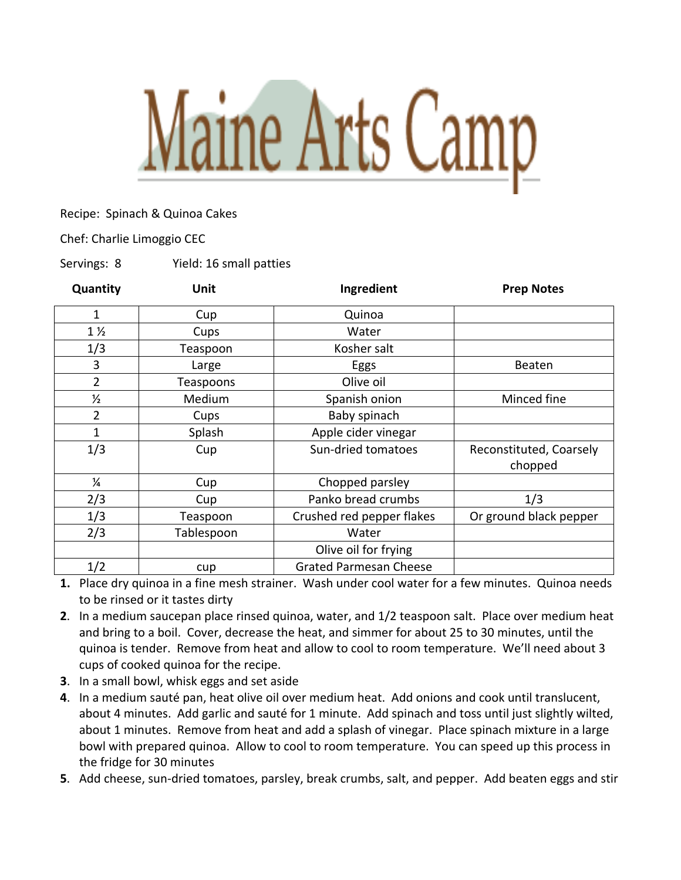## Maine Arts Camp

## Recipe: Spinach & Quinoa Cakes

Chef: Charlie Limoggio CEC

Servings: 8 Yield: 16 small patties

| Quantity       | <b>Unit</b> | Ingredient                    | <b>Prep Notes</b>                  |
|----------------|-------------|-------------------------------|------------------------------------|
| 1              | Cup         | Quinoa                        |                                    |
| $1\frac{1}{2}$ | Cups        | Water                         |                                    |
| 1/3            | Teaspoon    | Kosher salt                   |                                    |
| 3              | Large       | Eggs                          | Beaten                             |
| $\overline{2}$ | Teaspoons   | Olive oil                     |                                    |
| $\frac{1}{2}$  | Medium      | Spanish onion                 | Minced fine                        |
| $\overline{2}$ | Cups        | Baby spinach                  |                                    |
| 1              | Splash      | Apple cider vinegar           |                                    |
| 1/3            | Cup         | Sun-dried tomatoes            | Reconstituted, Coarsely<br>chopped |
| $\frac{1}{4}$  | Cup         | Chopped parsley               |                                    |
| 2/3            | Cup         | Panko bread crumbs            | 1/3                                |
| 1/3            | Teaspoon    | Crushed red pepper flakes     | Or ground black pepper             |
| 2/3            | Tablespoon  | Water                         |                                    |
|                |             | Olive oil for frying          |                                    |
| 1/2            | cup         | <b>Grated Parmesan Cheese</b> |                                    |

**1.** Place dry quinoa in a fine mesh strainer. Wash under cool water for a few minutes. Quinoa needs to be rinsed or it tastes dirty

- **2**. In a medium saucepan place rinsed quinoa, water, and 1/2 teaspoon salt. Place over medium heat and bring to a boil. Cover, decrease the heat, and simmer for about 25 to 30 minutes, until the quinoa is tender. Remove from heat and allow to cool to room temperature. We'll need about 3 cups of cooked quinoa for the recipe.
- **3**. In a small bowl, whisk eggs and set aside
- **4**. In a medium sauté pan, heat olive oil over medium heat. Add onions and cook until translucent, about 4 minutes. Add garlic and sauté for 1 minute. Add spinach and toss until just slightly wilted, about 1 minutes. Remove from heat and add a splash of vinegar. Place spinach mixture in a large bowl with prepared quinoa. Allow to cool to room temperature. You can speed up this process in the fridge for 30 minutes
- **5**. Add cheese, sun-dried tomatoes, parsley, break crumbs, salt, and pepper. Add beaten eggs and stir